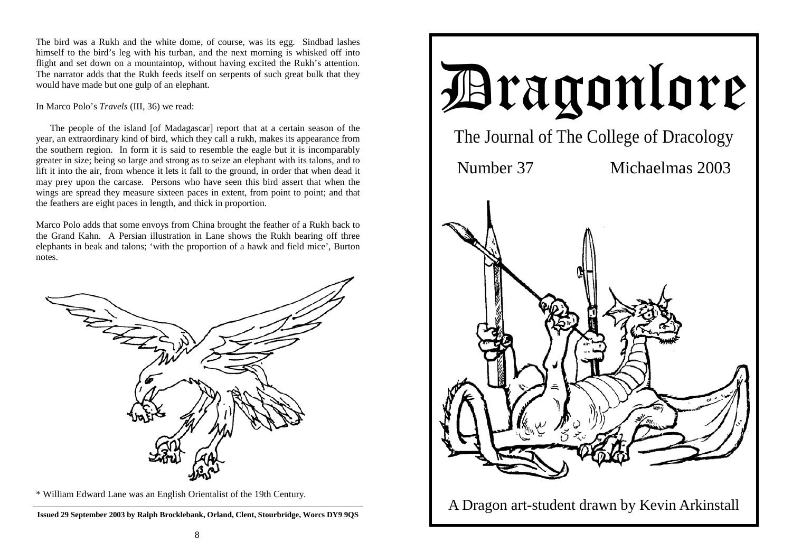The bird was a Rukh and the white dome, of course, was its egg. Sindbad lashes himself to the bird's leg with his turban, and the next morning is whisked off into flight and set down on a mountaintop, without having excited the Rukh's attention. The narrator adds that the Rukh feeds itself on serpents of such great bulk that they would have made but one gulp of an elephant.

# In Marco Polo's *Travels* (III, 36) we read:

 The people of the island [of Madagascar] report that at a certain season of the year, an extraordinary kind of bird, which they call a rukh, makes its appearance from the southern region. In form it is said to resemble the eagle but it is incomparably greater in size; being so large and strong as to seize an elephant with its talons, and to lift it into the air, from whence it lets it fall to the ground, in order that when dead it may prey upon the carcase. Persons who have seen this bird assert that when the wings are spread they measure sixteen paces in extent, from point to point; and that the feathers are eight paces in length, and thick in proportion.

Marco Polo adds that some envoys from China brought the feather of a Rukh back to the Grand Kahn. A Persian illustration in Lane shows the Rukh bearing off three elephants in beak and talons; 'with the proportion of a hawk and field mice', Burton notes.



\* William Edward Lane was an English Orientalist of the 19th Century.

**Issued 29 September 2003 by Ralph Brocklebank, Orland, Clent, Stourbridge, Worcs DY9 9QS** 

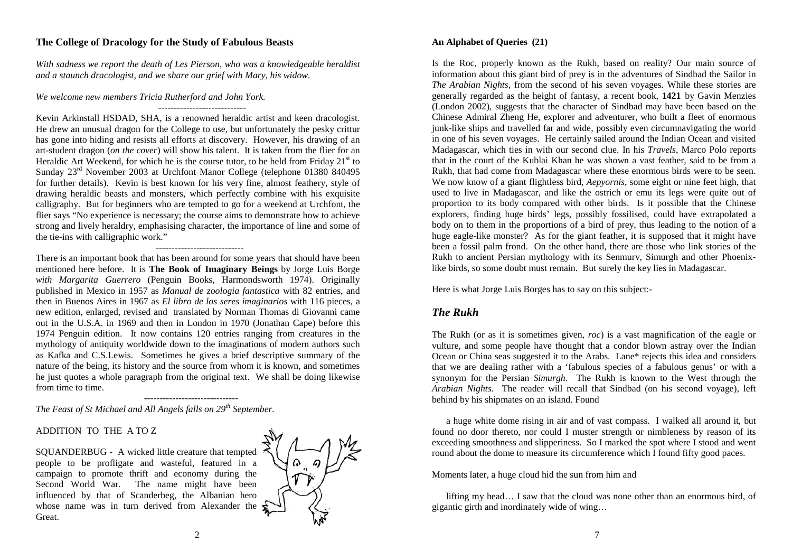# **The College of Dracology for the Study of Fabulous Beasts**

*With sadness we report the death of Les Pierson, who was a knowledgeable heraldist and a staunch dracologist, and we share our grief with Mary, his widow.* 

----------------------------

### *We welcome new members Tricia Rutherford and John York.*

Kevin Arkinstall HSDAD, SHA, is a renowned heraldic artist and keen dracologist. He drew an unusual dragon for the College to use, but unfortunately the pesky crittur has gone into hiding and resists all efforts at discovery. However, his drawing of an art-student dragon (*on the cover*) will show his talent. It is taken from the flier for an Heraldic Art Weekend, for which he is the course tutor, to be held from Friday  $21<sup>st</sup>$  to Sunday 23rd November 2003 at Urchfont Manor College (telephone 01380 840495 for further details). Kevin is best known for his very fine, almost feathery, style of drawing heraldic beasts and monsters, which perfectly combine with his exquisite calligraphy. But for beginners who are tempted to go for a weekend at Urchfont, the flier says "No experience is necessary; the course aims to demonstrate how to achieve strong and lively heraldry, emphasising character, the importance of line and some of the tie-ins with calligraphic work."

#### ----------------------------

There is an important book that has been around for some years that should have been mentioned here before. It is **The Book of Imaginary Beings** by Jorge Luis Borge *with Margarita Guerrero* (Penguin Books, Harmondsworth 1974). Originally published in Mexico in 1957 as *Manual de zoologia fantastica* with 82 entries, and then in Buenos Aires in 1967 as *El libro de los seres imaginarios* with 116 pieces, a new edition, enlarged, revised and translated by Norman Thomas di Giovanni came out in the U.S.A. in 1969 and then in London in 1970 (Jonathan Cape) before this 1974 Penguin edition. It now contains 120 entries ranging from creatures in the mythology of antiquity worldwide down to the imaginations of modern authors such as Kafka and C.S.Lewis. Sometimes he gives a brief descriptive summary of the nature of the being, its history and the source from whom it is known, and sometimes he just quotes a whole paragraph from the original text. We shall be doing likewise from time to time.

---------------------------------*The Feast of St Michael and All Angels falls on 29th September.* 

### ADDITION TO THE A TO Z

SQUANDERBUG - A wicked little creature that tempted people to be profligate and wasteful, featured in a campaign to promote thrift and economy during the Second World War. The name might have been influenced by that of Scanderbeg, the Albanian hero whose name was in turn derived from Alexander the Great.



### **An Alphabet of Queries (21)**

Is the Roc, properly known as the Rukh, based on reality? Our main source of information about this giant bird of prey is in the adventures of Sindbad the Sailor in *The Arabian Nights,* from the second of his seven voyages*.* While these stories are generally regarded as the height of fantasy, a recent book, **1421** by Gavin Menzies (London 2002)*,* suggests that the character of Sindbad may have been based on the Chinese Admiral Zheng He, explorer and adventurer, who built a fleet of enormous junk-like ships and travelled far and wide, possibly even circumnavigating the world in one of his seven voyages. He certainly sailed around the Indian Ocean and visited Madagascar, which ties in with our second clue. In his *Travels*, Marco Polo reports that in the court of the Kublai Khan he was shown a vast feather, said to be from a Rukh, that had come from Madagascar where these enormous birds were to be seen. We now know of a giant flightless bird, *Aepyornis*, some eight or nine feet high, that used to live in Madagascar, and like the ostrich or emu its legs were quite out of proportion to its body compared with other birds. Is it possible that the Chinese explorers, finding huge birds' legs, possibly fossilised, could have extrapolated a body on to them in the proportions of a bird of prey, thus leading to the notion of a huge eagle-like monster? As for the giant feather, it is supposed that it might have been a fossil palm frond. On the other hand, there are those who link stories of the Rukh to ancient Persian mythology with its Senmurv, Simurgh and other Phoenixlike birds, so some doubt must remain. But surely the key lies in Madagascar.

Here is what Jorge Luis Borges has to say on this subject:-

# *The Rukh*

The Rukh (or as it is sometimes given, *roc*) is a vast magnification of the eagle or vulture, and some people have thought that a condor blown astray over the Indian Ocean or China seas suggested it to the Arabs. Lane\* rejects this idea and considers that we are dealing rather with a 'fabulous species of a fabulous genus' or with a synonym for the Persian *Simurgh*. The Rukh is known to the West through the *Arabian Nights*. The reader will recall that Sindbad (on his second voyage), left behind by his shipmates on an island. Found

 a huge white dome rising in air and of vast compass. I walked all around it, but found no door thereto, nor could I muster strength or nimbleness by reason of its exceeding smoothness and slipperiness. So I marked the spot where I stood and went round about the dome to measure its circumference which I found fifty good paces.

Moments later, a huge cloud hid the sun from him and

 lifting my head… I saw that the cloud was none other than an enormous bird, of gigantic girth and inordinately wide of wing…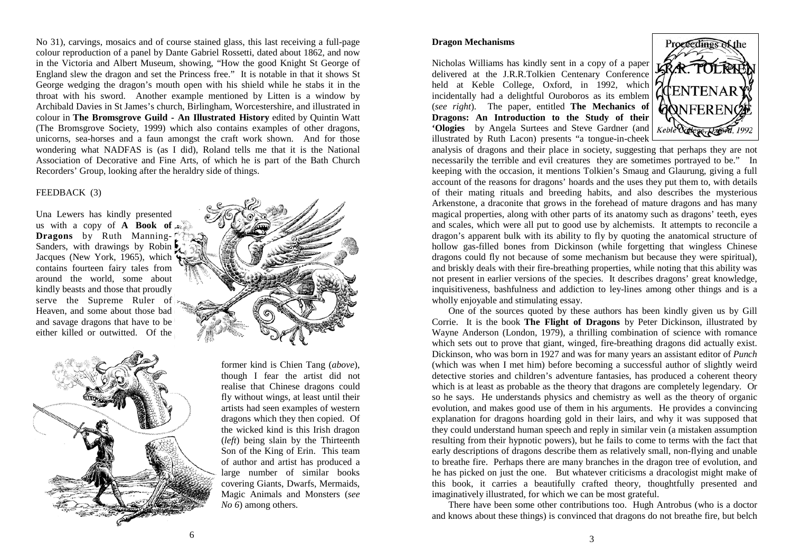No 31), carvings, mosaics and of course stained glass, this last receiving a full-page colour reproduction of a panel by Dante Gabriel Rossetti, dated about 1862, and now in the Victoria and Albert Museum, showing, "How the good Knight St George of England slew the dragon and set the Princess free." It is notable in that it shows St George wedging the dragon's mouth open with his shield while he stabs it in the throat with his sword. Another example mentioned by Litten is a window by Archibald Davies in St James's church, Birlingham, Worcestershire, and illustrated in colour in **The Bromsgrove Guild - An Illustrated History** edited by Quintin Watt (The Bromsgrove Society, 1999) which also contains examples of other dragons, unicorns, sea-horses and a faun amongst the craft work shown. And for those wondering what NADFAS is (as I did), Roland tells me that it is the National Association of Decorative and Fine Arts, of which he is part of the Bath Church Recorders' Group, looking after the heraldry side of things.

### FEEDBACK (3)

Una Lewers has kindly presented us with a copy of **A** Book of  $A$ **Dragons** by Ruth Manning-Sanders, with drawings by Robin Jacques (New York, 1965), which contains fourteen fairy tales from around the world, some about kindly beasts and those that proudly serve the Supreme Ruler of Heaven, and some about those bad and savage dragons that have to be either killed or outwitted. Of the



former kind is Chien Tang (*above*), though I fear the artist did not realise that Chinese dragons could fly without wings, at least until their artists had seen examples of western dragons which they then copied. Of the wicked kind is this Irish dragon (*left*) being slain by the Thirteenth Son of the King of Erin. This team of author and artist has produced a large number of similar books covering Giants, Dwarfs, Mermaids, Magic Animals and Monsters (*see No 6*) among others.

### **Dragon Mechanisms**

Nicholas Williams has kindly sent in a copy of a paper delivered at the J.R.R.Tolkien Centenary Conference held at Keble College, Oxford, in 1992, which incidentally had a delightful Ouroboros as its emblem (*see right*). The paper, entitled **The Mechanics of Dragons: An Introduction to the Study of their 'Ologies** by Angela Surtees and Steve Gardner (and illustrated by Ruth Lacon) presents "a tongue-in-cheek



analysis of dragons and their place in society, suggesting that perhaps they are not necessarily the terrible and evil creatures they are sometimes portrayed to be." In keeping with the occasion, it mentions Tolkien's Smaug and Glaurung, giving a full account of the reasons for dragons' hoards and the uses they put them to, with details of their mating rituals and breeding habits, and also describes the mysterious Arkenstone, a draconite that grows in the forehead of mature dragons and has many magical properties, along with other parts of its anatomy such as dragons' teeth, eyes and scales, which were all put to good use by alchemists. It attempts to reconcile a dragon's apparent bulk with its ability to fly by quoting the anatomical structure of hollow gas-filled bones from Dickinson (while forgetting that wingless Chinese dragons could fly not because of some mechanism but because they were spiritual), and briskly deals with their fire-breathing properties, while noting that this ability was not present in earlier versions of the species. It describes dragons' great knowledge, inquisitiveness, bashfulness and addiction to ley-lines among other things and is a wholly enjoyable and stimulating essay.

 One of the sources quoted by these authors has been kindly given us by Gill Corrie. It is the book **The Flight of Dragons** by Peter Dickinson, illustrated by Wayne Anderson (London, 1979), a thrilling combination of science with romance which sets out to prove that giant, winged, fire-breathing dragons did actually exist. Dickinson, who was born in 1927 and was for many years an assistant editor of *Punch* (which was when I met him) before becoming a successful author of slightly weird detective stories and children's adventure fantasies, has produced a coherent theory which is at least as probable as the theory that dragons are completely legendary. Or so he says. He understands physics and chemistry as well as the theory of organic evolution, and makes good use of them in his arguments. He provides a convincing explanation for dragons hoarding gold in their lairs, and why it was supposed that they could understand human speech and reply in similar vein (a mistaken assumption resulting from their hypnotic powers), but he fails to come to terms with the fact that early descriptions of dragons describe them as relatively small, non-flying and unable to breathe fire. Perhaps there are many branches in the dragon tree of evolution, and he has picked on just the one. But whatever criticisms a dracologist might make of this book, it carries a beautifully crafted theory, thoughtfully presented and imaginatively illustrated, for which we can be most grateful.

 There have been some other contributions too. Hugh Antrobus (who is a doctor and knows about these things) is convinced that dragons do not breathe fire, but belch